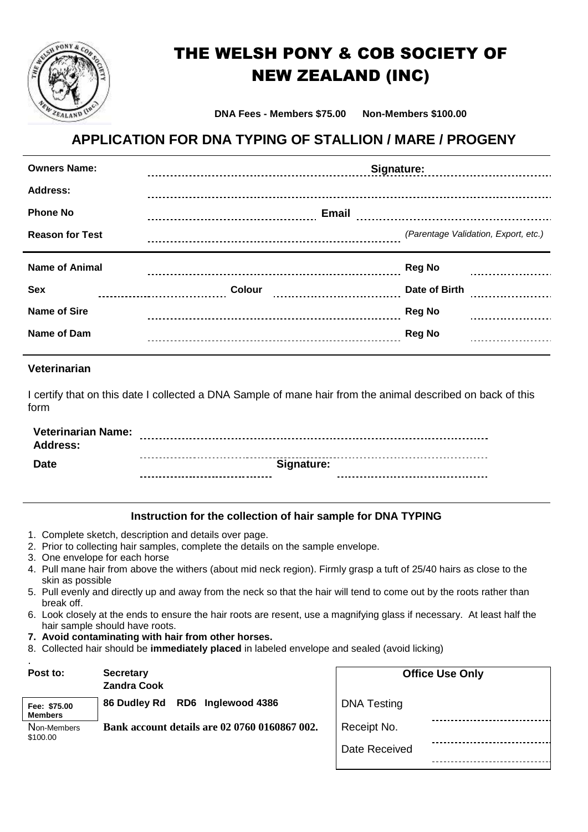

## THE WELSH PONY & COB SOCIETY OF NEW ZEALAND (INC)

**DNA Fees - Members \$75.00 Non-Members \$100.00**

## **APPLICATION FOR DNA TYPING OF STALLION / MARE / PROGENY**

| <b>Owners Name:</b>    | Signature: March 1999                |  |
|------------------------|--------------------------------------|--|
| <b>Address:</b>        |                                      |  |
| <b>Phone No</b>        |                                      |  |
| <b>Reason for Test</b> | (Parentage Validation, Export, etc.) |  |
|                        |                                      |  |
| <b>Name of Animal</b>  | <b>Reg No</b>                        |  |
| <b>Sex</b>             | Date of Birth                        |  |
| <b>Name of Sire</b>    | <b>Reg No</b>                        |  |

## **Veterinarian**

I certify that on this date I collected a DNA Sample of mane hair from the animal described on back of this form

| <b>Veterinarian Name:</b> |            |  |
|---------------------------|------------|--|
| Address:                  |            |  |
| <b>Date</b>               | Signature: |  |

## **Instruction for the collection of hair sample for DNA TYPING**

- 1. Complete sketch, description and details over page.
- 2. Prior to collecting hair samples, complete the details on the sample envelope.
- 3. One envelope for each horse
- 4. Pull mane hair from above the withers (about mid neck region). Firmly grasp a tuft of 25/40 hairs as close to the skin as possible
- 5. Pull evenly and directly up and away from the neck so that the hair will tend to come out by the roots rather than break off.
- 6. Look closely at the ends to ensure the hair roots are resent, use a magnifying glass if necessary. At least half the hair sample should have roots.
- **7. Avoid contaminating with hair from other horses.**
- 8. Collected hair should be **immediately placed** in labeled envelope and sealed (avoid licking)

| $\blacksquare$<br>Post to:     | <b>Secretary</b><br><b>Zandra Cook</b>        | <b>Office Use Only</b> |
|--------------------------------|-----------------------------------------------|------------------------|
| Fee: \$75.00<br><b>Members</b> | RD6 Inglewood 4386<br>86 Dudley Rd            | <b>DNA Testing</b>     |
| Non-Members<br>\$100.00        | Bank account details are 02 0760 0160867 002. | Receipt No.            |
|                                |                                               | Date Received          |